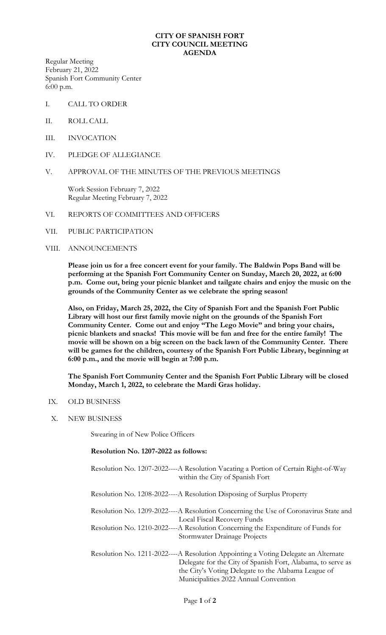## **CITY OF SPANISH FORT CITY COUNCIL MEETING AGENDA**

Regular Meeting February 21, 2022 Spanish Fort Community Center 6:00 p.m.

- I. CALL TO ORDER
- II. ROLL CALL
- III. INVOCATION
- IV. PLEDGE OF ALLEGIANCE
- V. APPROVAL OF THE MINUTES OF THE PREVIOUS MEETINGS

Work Session February 7, 2022 Regular Meeting February 7, 2022

- VI. REPORTS OF COMMITTEES AND OFFICERS
- VII. PUBLIC PARTICIPATION
- VIII. ANNOUNCEMENTS

**Please join us for a free concert event for your family. The Baldwin Pops Band will be performing at the Spanish Fort Community Center on Sunday, March 20, 2022, at 6:00 p.m. Come out, bring your picnic blanket and tailgate chairs and enjoy the music on the grounds of the Community Center as we celebrate the spring season!**

**Also, on Friday, March 25, 2022, the City of Spanish Fort and the Spanish Fort Public Library will host our first family movie night on the grounds of the Spanish Fort Community Center. Come out and enjoy "The Lego Movie" and bring your chairs, picnic blankets and snacks! This movie will be fun and free for the entire family! The movie will be shown on a big screen on the back lawn of the Community Center. There will be games for the children, courtesy of the Spanish Fort Public Library, beginning at 6:00 p.m., and the movie will begin at 7:00 p.m.**

**The Spanish Fort Community Center and the Spanish Fort Public Library will be closed Monday, March 1, 2022, to celebrate the Mardi Gras holiday.**

- IX. OLD BUSINESS
- X. NEW BUSINESS

Swearing in of New Police Officers

## **Resolution No. 1207-2022 as follows:**

| Resolution No. 1207-2022----A Resolution Vacating a Portion of Certain Right-of-Way |
|-------------------------------------------------------------------------------------|
| within the City of Spanish Fort                                                     |
|                                                                                     |
| Resolution No. 1208-2022----A Resolution Disposing of Surplus Property              |

Resolution No. 1209-2022----A Resolution Concerning the Use of Coronavirus State and Local Fiscal Recovery Funds

Resolution No. 1210-2022----A Resolution Concerning the Expenditure of Funds for Stormwater Drainage Projects

Resolution No. 1211-2022----A Resolution Appointing a Voting Delegate an Alternate Delegate for the City of Spanish Fort, Alabama, to serve as the City's Voting Delegate to the Alabama League of Municipalities 2022 Annual Convention